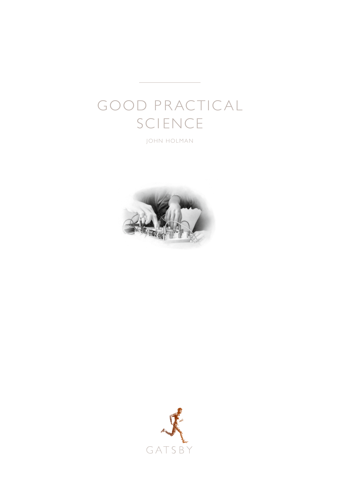# GOOD PRACTICAL SCIENCE

JOHN HOLMAN



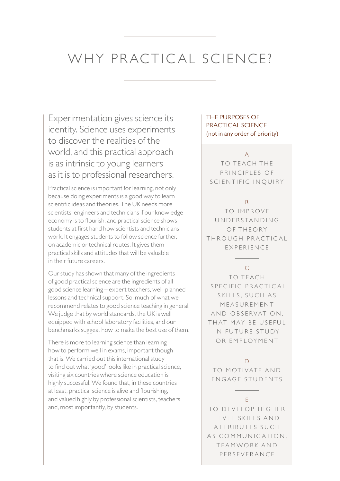### WHY PRACTICAL SCIENCE?

Experimentation gives science its identity. Science uses experiments to discover the realities of the world, and this practical approach is as intrinsic to young learners as it is to professional researchers.

Practical science is important for learning, not only because doing experiments is a good way to learn scientific ideas and theories. The UK needs more scientists, engineers and technicians if our knowledge economy is to flourish, and practical science shows students at first hand how scientists and technicians work. It engages students to follow science further, on academic or technical routes. It gives them practical skills and attitudes that will be valuable in their future careers.

Our study has shown that many of the ingredients of good practical science are the ingredients of all good science learning – expert teachers, well-planned lessons and technical support. So, much of what we recommend relates to good science teaching in general. We judge that by world standards, the UK is well equipped with school laboratory facilities, and our benchmarks suggest how to make the best use of them.

 There is more to learning science than learning how to perform well in exams, important though that is. We carried out this international study to find out what 'good' looks like in practical science, visiting six countries where science education is highly successful. We found that, in these countries at least, practical science is alive and flourishing, and valued highly by professional scientists, teachers and, most importantly, by students.

### THE PURPOSES OF PRACTICAL SCIENCE (not in any order of priority)

A

TO TEACH THE PRINCIPLES OF SCIENTIFIC INQUIRY

#### B

TO IMPROVE U N D E R S TA N D I N G OF THEORY THROUGH PRACTICAL EXPERIENCE

### $\subset$

TO TEACH SPECIFIC PRACTICAL SKILLS, SUCH AS **MEASUREMENT** AND OBSERVATION. TH AT MAY BE LISEEUL IN FUTURE STUDY OR EMPLOYMENT

#### $\Box$

TO MOTIVATE AND ENGAGE STUDENTS

### E

TO DEVELOP HIGHER LEVEL SKILLS AND ATTRIBUTES SUCH AS COMMUNICATION, TEAMWORK AND PERSEVERANCE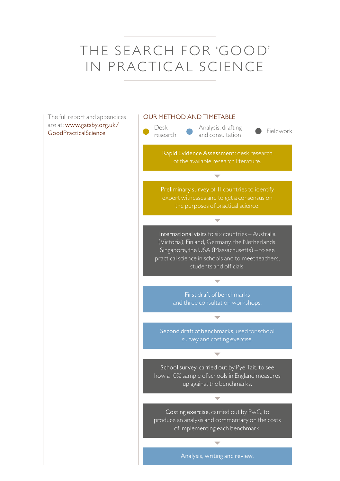# THE SEARCH FOR 'GOOD' IN PRACTICAL SCIENCE

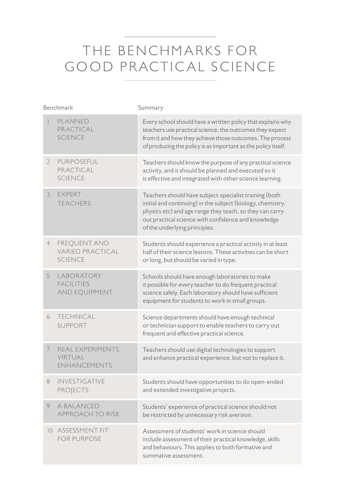## THE BENCHMARKS FOR GOOD PRACTICAL SCIENCE

| Benchmark       |                                                                  | Summary                                                                                                                                                                                                                                                                   |
|-----------------|------------------------------------------------------------------|---------------------------------------------------------------------------------------------------------------------------------------------------------------------------------------------------------------------------------------------------------------------------|
|                 | PLANNED<br>PRACTICAL<br><b>SCIENCE</b>                           | Every school should have a written policy that explains why<br>teachers use practical science, the outcomes they expect<br>from it and how they achieve those outcomes. The process<br>of producing the policy is as important as the policy itself.                      |
| 2               | <b>PURPOSEFUL</b><br>PRACTICAL<br><b>SCIENCE</b>                 | Teachers should know the purpose of any practical science<br>activity, and it should be planned and executed so it<br>is effective and integrated with other science learning.                                                                                            |
| 3               | <b>EXPERT</b><br><b>TFACHERS</b>                                 | Teachers should have subject-specialist training (both<br>initial and continuing) in the subject (biology, chemistry,<br>physics etc) and age range they teach, so they can carry<br>out practical science with confidence and knowledge<br>of the underlying principles. |
| $\overline{4}$  | <b>FREQUENT AND</b><br><b>VARIED PRACTICAL</b><br><b>SCIENCE</b> | Students should experience a practical activity in at least<br>half of their science lessons. These activities can be short<br>or long, but should be varied in type.                                                                                                     |
| 5               | LABORATORY<br><b>FACILITIES</b><br><b>AND EQUIPMENT</b>          | Schools should have enough laboratories to make<br>it possible for every teacher to do frequent practical<br>science safely. Each laboratory should have sufficient<br>equipment for students to work in small groups.                                                    |
| 6               | <b>TECHNICAL</b><br>SUPPORT                                      | Science departments should have enough technical<br>or technician support to enable teachers to carry out<br>frequent and effective practical science.                                                                                                                    |
| 7               | REAL EXPERIMENTS,<br><b>VIRTUAL</b><br><b>FNHANCFMENTS</b>       | Teachers should use digital technologies to support<br>and enhance practical experience, but not to replace it.                                                                                                                                                           |
| 8               | <b>INVESTIGATIVE</b><br><b>PROJECTS</b>                          | Students should have opportunities to do open-ended<br>and extended investigative projects.                                                                                                                                                                               |
| 9               | A BALANCED<br><b>APPROACH TO RISK</b>                            | Students' experience of practical science should not<br>be restricted by unnecessary risk aversion.                                                                                                                                                                       |
| $\overline{10}$ | ASSESSMENT FIT<br><b>FOR PURPOSE</b>                             | Assessment of students' work in science should<br>include assessment of their practical knowledge, skills<br>and behaviours. This applies to both formative and<br>summative assessment.                                                                                  |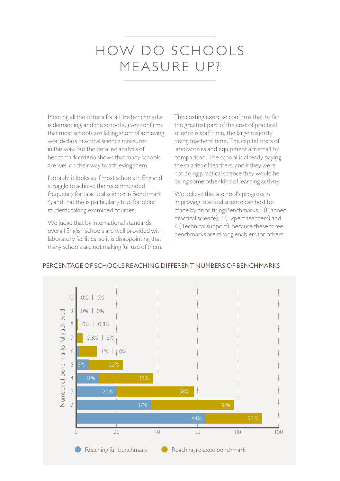### HOW DO SCHOOLS MEASURE UP?

Meeting all the criteria for all the benchmarks is demanding, and the school survey confirms that most schools are falling short of achieving world-class practical science measured in this way. But the detailed analysis of benchmark criteria shows that many schools are well on their way to achieving them.

Notably, it looks as if most schools in England struggle to achieve the recommended frequency for practical science in Benchmark 4, and that this is particularly true for older students taking examined courses.

We judge that by international standards, overall English schools are well provided with laboratory facilities, so it is disappointing that many schools are not making full use of them.  The costing exercise confirms that by far the greatest part of the cost of practical science is staff time, the large majority being teachers' time. The capital costs of laboratories and equipment are small by comparison. The school is already paying the salaries of teachers, and if they were not doing practical science they would be doing some other kind of learning activity.

We believe that a school's progress in improving practical science can best be made by prioritising Benchmarks 1 (Planned practical science), 3 (Expert teachers) and 6 (Technical support), because these three benchmarks are strong enablers for others.



#### PERCENTAGE OF SCHOOLS REACHING DIFFERENT NUMBERS OF BENCHMARKS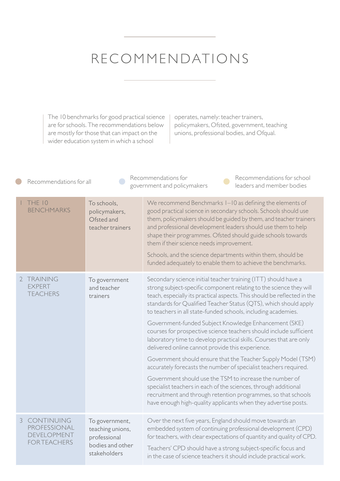### RECOMMENDATIONS

The 10 benchmarks for good practical science are for schools. The recommendations below are mostly for those that can impact on the wider education system in which a school

operates, namely: teacher trainers, policymakers, Ofsted, government, teaching unions, professional bodies, and Ofqual.

|                                                                         |                                                                                        | Recommendations for<br>Recommendations for school<br>government and policymakers<br>leaders and member bodies                                                                                                                                                                                                                                                                                                                                                                                                                                                                                                                                                                                                                                                                                                                                                                                                                                                                                                        |
|-------------------------------------------------------------------------|----------------------------------------------------------------------------------------|----------------------------------------------------------------------------------------------------------------------------------------------------------------------------------------------------------------------------------------------------------------------------------------------------------------------------------------------------------------------------------------------------------------------------------------------------------------------------------------------------------------------------------------------------------------------------------------------------------------------------------------------------------------------------------------------------------------------------------------------------------------------------------------------------------------------------------------------------------------------------------------------------------------------------------------------------------------------------------------------------------------------|
| <b>THE 10</b><br><b>BENCHMARKS</b>                                      | To schools,<br>policymakers,<br>Ofsted and<br>teacher trainers                         | We recommend Benchmarks 1-10 as defining the elements of<br>good practical science in secondary schools. Schools should use<br>them, policymakers should be guided by them, and teacher trainers<br>and professional development leaders should use them to help<br>shape their programmes. Ofsted should guide schools towards<br>them if their science needs improvement.<br>Schools, and the science departments within them, should be<br>funded adequately to enable them to achieve the benchmarks.                                                                                                                                                                                                                                                                                                                                                                                                                                                                                                            |
| <b>FXPFRT</b><br><b>TFACHERS</b>                                        | To government<br>and teacher<br>trainers                                               | Secondary science initial teacher training (ITT) should have a<br>strong subject-specific component relating to the science they will<br>teach, especially its practical aspects. This should be reflected in the<br>standards for Qualified Teacher Status (QTS), which should apply<br>to teachers in all state-funded schools, including academies.<br>Government-funded Subject Knowledge Enhancement (SKE)<br>courses for prospective science teachers should include sufficient<br>laboratory time to develop practical skills. Courses that are only<br>delivered online cannot provide this experience.<br>Government should ensure that the Teacher Supply Model (TSM)<br>accurately forecasts the number of specialist teachers required.<br>Government should use the TSM to increase the number of<br>specialist teachers in each of the sciences, through additional<br>recruitment and through retention programmes, so that schools<br>have enough high-quality applicants when they advertise posts. |
| CONTINUING<br>PROFESSIONAL<br><b>DEVELOPMENT</b><br><b>FOR TFACHERS</b> | To government,<br>teaching unions,<br>professional<br>bodies and other<br>stakeholders | Over the next five years, England should move towards an<br>embedded system of continuing professional development (CPD)<br>for teachers, with clear expectations of quantity and quality of CPD.<br>Teachers' CPD should have a strong subject-specific focus and<br>in the case of science teachers it should include practical work.                                                                                                                                                                                                                                                                                                                                                                                                                                                                                                                                                                                                                                                                              |
|                                                                         | 2 TRAINING                                                                             | Recommendations for all                                                                                                                                                                                                                                                                                                                                                                                                                                                                                                                                                                                                                                                                                                                                                                                                                                                                                                                                                                                              |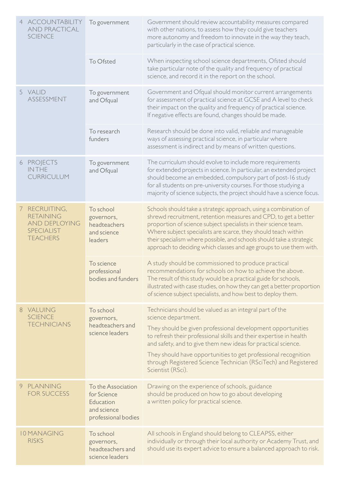|  | 4 ACCOUNTABILITY<br><b>AND PRACTICAL</b><br><b>SCIENCE</b>                                        | To government                                                                               | Government should review accountability measures compared<br>with other nations, to assess how they could give teachers<br>more autonomy and freedom to innovate in the way they teach,<br>particularly in the case of practical science.                                                                                                                                                                                |
|--|---------------------------------------------------------------------------------------------------|---------------------------------------------------------------------------------------------|--------------------------------------------------------------------------------------------------------------------------------------------------------------------------------------------------------------------------------------------------------------------------------------------------------------------------------------------------------------------------------------------------------------------------|
|  |                                                                                                   | To Ofsted                                                                                   | When inspecting school science departments, Ofsted should<br>take particular note of the quality and frequency of practical<br>science, and record it in the report on the school.                                                                                                                                                                                                                                       |
|  | 5 VALID<br>ASSESSMENT                                                                             | To government<br>and Ofqual                                                                 | Government and Ofqual should monitor current arrangements<br>for assessment of practical science at GCSE and A level to check<br>their impact on the quality and frequency of practical science.<br>If negative effects are found, changes should be made.                                                                                                                                                               |
|  |                                                                                                   | To research<br>funders                                                                      | Research should be done into valid, reliable and manageable<br>ways of assessing practical science, in particular where<br>assessment is indirect and by means of written questions.                                                                                                                                                                                                                                     |
|  | 6 PROJECTS<br><b>INTHE</b><br><b>CURRICULUM</b>                                                   | To government<br>and Ofqual                                                                 | The curriculum should evolve to include more requirements<br>for extended projects in science. In particular, an extended project<br>should become an embedded, compulsory part of post-16 study<br>for all students on pre-university courses. For those studying a<br>majority of science subjects, the project should have a science focus.                                                                           |
|  | 7 RECRUITING,<br><b>RETAINING</b><br><b>AND DEPLOYING</b><br><b>SPECIALIST</b><br><b>TEACHERS</b> | To school<br>governors,<br>headteachers<br>and science<br>leaders                           | Schools should take a strategic approach, using a combination of<br>shrewd recruitment, retention measures and CPD, to get a better<br>proportion of science subject specialists in their science team.<br>Where subject specialists are scarce, they should teach within<br>their specialism where possible, and schools should take a strategic<br>approach to deciding which classes and age groups to use them with. |
|  |                                                                                                   | To science<br>professional<br>bodies and funders                                            | A study should be commissioned to produce practical<br>recommendations for schools on how to achieve the above.<br>The result of this study would be a practical guide for schools,<br>illustrated with case studies, on how they can get a better proportion<br>of science subject specialists, and how best to deploy them.                                                                                            |
|  | 8 VALUING<br><b>SCIENCE</b><br><b>TECHNICIANS</b>                                                 | To school<br>governors,<br>headteachers and<br>science leaders                              | Technicians should be valued as an integral part of the<br>science department.                                                                                                                                                                                                                                                                                                                                           |
|  |                                                                                                   |                                                                                             | They should be given professional development opportunities<br>to refresh their professional skills and their expertise in health<br>and safety, and to give them new ideas for practical science.                                                                                                                                                                                                                       |
|  |                                                                                                   |                                                                                             | They should have opportunities to get professional recognition<br>through Registered Science Technician (RSciTech) and Registered<br>Scientist (RSci).                                                                                                                                                                                                                                                                   |
|  | 9 PLANNING<br><b>FOR SUCCESS</b>                                                                  | To the Association<br>for Science<br><b>Education</b><br>and science<br>professional bodies | Drawing on the experience of schools, guidance<br>should be produced on how to go about developing<br>a written policy for practical science.                                                                                                                                                                                                                                                                            |
|  | <b>10 MANAGING</b><br><b>RISKS</b>                                                                | To school<br>governors,<br>headteachers and<br>science leaders                              | All schools in England should belong to CLEAPSS, either<br>individually or through their local authority or Academy Trust, and<br>should use its expert advice to ensure a balanced approach to risk.                                                                                                                                                                                                                    |